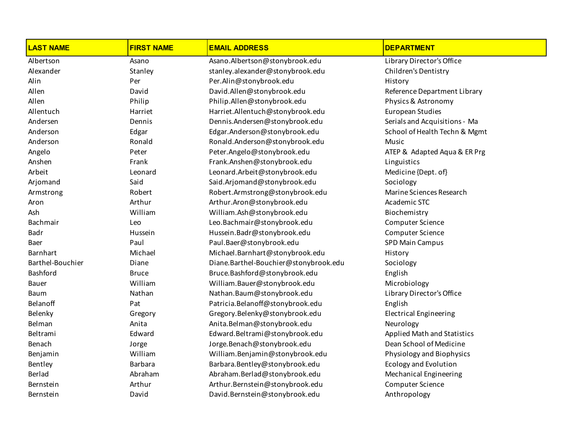| <b>LAST NAME</b> | <b>FIRST NAME</b> | <b>EMAIL ADDRESS</b>                  | <b>DEPARTMENT</b>                  |
|------------------|-------------------|---------------------------------------|------------------------------------|
| Albertson        | Asano             | Asano.Albertson@stonybrook.edu        | Library Director's Office          |
| Alexander        | Stanley           | stanley.alexander@stonybrook.edu      | Children's Dentistry               |
| Alin             | Per               | Per.Alin@stonybrook.edu               | History                            |
| Allen            | David             | David.Allen@stonybrook.edu            | Reference Department Library       |
| Allen            | Philip            | Philip.Allen@stonybrook.edu           | Physics & Astronomy                |
| Allentuch        | Harriet           | Harriet.Allentuch@stonybrook.edu      | <b>European Studies</b>            |
| Andersen         | Dennis            | Dennis.Andersen@stonybrook.edu        | Serials and Acquisitions - Ma      |
| Anderson         | Edgar             | Edgar.Anderson@stonybrook.edu         | School of Health Techn & Mgmt      |
| Anderson         | Ronald            | Ronald.Anderson@stonybrook.edu        | Music                              |
| Angelo           | Peter             | Peter.Angelo@stonybrook.edu           | ATEP & Adapted Aqua & ER Prg       |
| Anshen           | Frank             | Frank.Anshen@stonybrook.edu           | Linguistics                        |
| Arbeit           | Leonard           | Leonard.Arbeit@stonybrook.edu         | Medicine {Dept. of}                |
| Arjomand         | Said              | Said.Arjomand@stonybrook.edu          | Sociology                          |
| Armstrong        | Robert            | Robert.Armstrong@stonybrook.edu       | Marine Sciences Research           |
| Aron             | Arthur            | Arthur.Aron@stonybrook.edu            | Academic STC                       |
| Ash              | William           | William.Ash@stonybrook.edu            | Biochemistry                       |
| Bachmair         | Leo               | Leo.Bachmair@stonybrook.edu           | Computer Science                   |
| <b>Badr</b>      | Hussein           | Hussein.Badr@stonybrook.edu           | Computer Science                   |
| Baer             | Paul              | Paul.Baer@stonybrook.edu              | <b>SPD Main Campus</b>             |
| <b>Barnhart</b>  | Michael           | Michael.Barnhart@stonybrook.edu       | History                            |
| Barthel-Bouchier | Diane             | Diane.Barthel-Bouchier@stonybrook.edu | Sociology                          |
| Bashford         | <b>Bruce</b>      | Bruce.Bashford@stonybrook.edu         | English                            |
| Bauer            | William           | William.Bauer@stonybrook.edu          | Microbiology                       |
| <b>Baum</b>      | Nathan            | Nathan.Baum@stonybrook.edu            | Library Director's Office          |
| Belanoff         | Pat               | Patricia.Belanoff@stonybrook.edu      | English                            |
| Belenky          | Gregory           | Gregory.Belenky@stonybrook.edu        | <b>Electrical Engineering</b>      |
| Belman           | Anita             | Anita.Belman@stonybrook.edu           | Neurology                          |
| Beltrami         | Edward            | Edward.Beltrami@stonybrook.edu        | <b>Applied Math and Statistics</b> |
| Benach           | Jorge             | Jorge.Benach@stonybrook.edu           | Dean School of Medicine            |
| Benjamin         | William           | William.Benjamin@stonybrook.edu       | Physiology and Biophysics          |
| Bentley          | <b>Barbara</b>    | Barbara.Bentley@stonybrook.edu        | <b>Ecology and Evolution</b>       |
| Berlad           | Abraham           | Abraham.Berlad@stonybrook.edu         | Mechanical Engineering             |
| Bernstein        | Arthur            | Arthur.Bernstein@stonybrook.edu       | <b>Computer Science</b>            |
| Bernstein        | David             | David.Bernstein@stonybrook.edu        | Anthropology                       |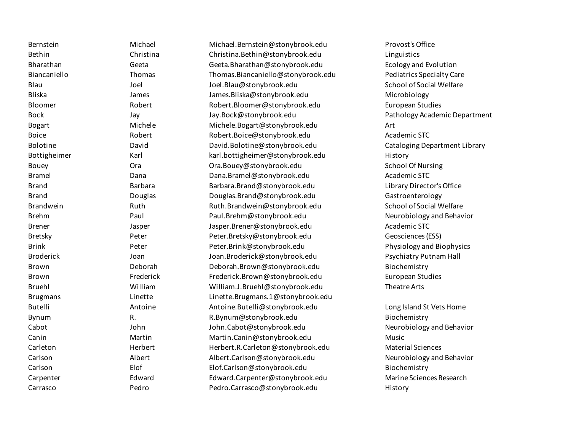| Bernstein        | Michael   | Michael.Bernstein@stonybrook.edu   | Provost's Office                 |
|------------------|-----------|------------------------------------|----------------------------------|
| Bethin           | Christina | Christina.Bethin@stonybrook.edu    | Linguistics                      |
| Bharathan        | Geeta     | Geeta.Bharathan@stonybrook.edu     | <b>Ecology and Evolution</b>     |
| Biancaniello     | Thomas    | Thomas.Biancaniello@stonybrook.edu | <b>Pediatrics Specialty Care</b> |
| Blau             | Joel      | Joel.Blau@stonybrook.edu           | School of Social Welfare         |
| <b>Bliska</b>    | James     | James.Bliska@stonybrook.edu        | Microbiology                     |
| Bloomer          | Robert    | Robert.Bloomer@stonybrook.edu      | <b>European Studies</b>          |
| <b>Bock</b>      | Jay       | Jay.Bock@stonybrook.edu            | Pathology Academic Department    |
| <b>Bogart</b>    | Michele   | Michele.Bogart@stonybrook.edu      | Art                              |
| <b>Boice</b>     | Robert    | Robert.Boice@stonybrook.edu        | Academic STC                     |
| Bolotine         | David     | David.Bolotine@stonybrook.edu      | Cataloging Department Library    |
| Bottigheimer     | Karl      | karl.bottigheimer@stonybrook.edu   | History                          |
| Bouey            | Ora       | Ora.Bouey@stonybrook.edu           | <b>School Of Nursing</b>         |
| <b>Bramel</b>    | Dana      | Dana.Bramel@stonybrook.edu         | Academic STC                     |
| <b>Brand</b>     | Barbara   | Barbara.Brand@stonybrook.edu       | Library Director's Office        |
| <b>Brand</b>     | Douglas   | Douglas.Brand@stonybrook.edu       | Gastroenterology                 |
| Brandwein        | Ruth      | Ruth.Brandwein@stonybrook.edu      | School of Social Welfare         |
| <b>Brehm</b>     | Paul      | Paul.Brehm@stonybrook.edu          | Neurobiology and Behavior        |
| <b>Brener</b>    | Jasper    | Jasper.Brener@stonybrook.edu       | Academic STC                     |
| Bretsky          | Peter     | Peter.Bretsky@stonybrook.edu       | Geosciences (ESS)                |
| <b>Brink</b>     | Peter     | Peter.Brink@stonybrook.edu         | Physiology and Biophysics        |
| <b>Broderick</b> | Joan      | Joan.Broderick@stonybrook.edu      | <b>Psychiatry Putnam Hall</b>    |
| Brown            | Deborah   | Deborah.Brown@stonybrook.edu       | Biochemistry                     |
| Brown            | Frederick | Frederick.Brown@stonybrook.edu     | <b>European Studies</b>          |
| <b>Bruehl</b>    | William   | William.J.Bruehl@stonybrook.edu    | Theatre Arts                     |
| <b>Brugmans</b>  | Linette   | Linette.Brugmans.1@stonybrook.edu  |                                  |
| <b>Butelli</b>   | Antoine   | Antoine.Butelli@stonybrook.edu     | Long Island St Vets Home         |
| Bynum            | R.        | R.Bynum@stonybrook.edu             | Biochemistry                     |
| Cabot            | John      | John.Cabot@stonybrook.edu          | Neurobiology and Behavior        |
| Canin            | Martin    | Martin.Canin@stonybrook.edu        | Music                            |
| Carleton         | Herbert   | Herbert.R.Carleton@stonybrook.edu  | <b>Material Sciences</b>         |
| Carlson          | Albert    | Albert.Carlson@stonybrook.edu      | Neurobiology and Behavior        |
| Carlson          | Elof      | Elof.Carlson@stonybrook.edu        | Biochemistry                     |
| Carpenter        | Edward    | Edward.Carpenter@stonybrook.edu    | Marine Sciences Research         |
| Carrasco         | Pedro     | Pedro.Carrasco@stonybrook.edu      | History                          |
|                  |           |                                    |                                  |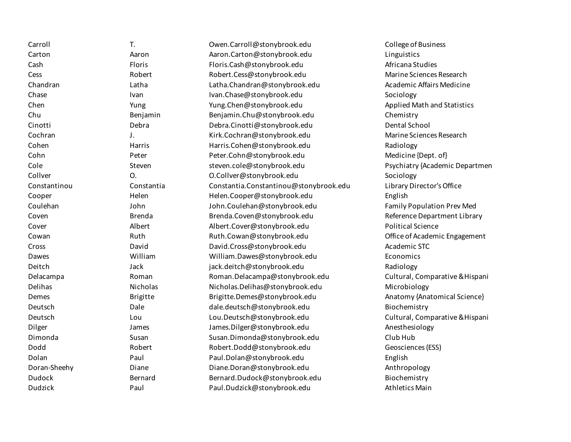| Carroll       | T.              | Owen.Carroll@stonybrook.edu            | College of Business             |
|---------------|-----------------|----------------------------------------|---------------------------------|
| Carton        | Aaron           | Aaron.Carton@stonybrook.edu            | Linguistics                     |
| Cash          | Floris          | Floris.Cash@stonybrook.edu             | Africana Studies                |
| Cess          | Robert          | Robert.Cess@stonybrook.edu             | Marine Sciences Research        |
| Chandran      | Latha           | Latha.Chandran@stonybrook.edu          | Academic Affairs Medicine       |
| Chase         | Ivan            | Ivan.Chase@stonybrook.edu              | Sociology                       |
| Chen          | Yung            | Yung.Chen@stonybrook.edu               | Applied Math and Statistics     |
| Chu           | Benjamin        | Benjamin.Chu@stonybrook.edu            | Chemistry                       |
| Cinotti       | Debra           | Debra.Cinotti@stonybrook.edu           | Dental School                   |
| Cochran       | J.              | Kirk.Cochran@stonybrook.edu            | Marine Sciences Research        |
| Cohen         | Harris          | Harris.Cohen@stonybrook.edu            | Radiology                       |
| Cohn          | Peter           | Peter.Cohn@stonybrook.edu              | Medicine {Dept. of}             |
| Cole          | Steven          | steven.cole@stonybrook.edu             | Psychiatry {Academic Departmen  |
| Collver       | 0.              | O.Collver@stonybrook.edu               | Sociology                       |
| Constantinou  | Constantia      | Constantia.Constantinou@stonybrook.edu | Library Director's Office       |
| Cooper        | Helen           | Helen.Cooper@stonybrook.edu            | English                         |
| Coulehan      | John            | John.Coulehan@stonybrook.edu           | Family Population Prev Med      |
| Coven         | <b>Brenda</b>   | Brenda.Coven@stonybrook.edu            | Reference Department Library    |
| Cover         | Albert          | Albert.Cover@stonybrook.edu            | <b>Political Science</b>        |
| Cowan         | Ruth            | Ruth.Cowan@stonybrook.edu              | Office of Academic Engagement   |
| Cross         | David           | David.Cross@stonybrook.edu             | Academic STC                    |
| Dawes         | William         | William.Dawes@stonybrook.edu           | Economics                       |
| Deitch        | Jack            | jack.deitch@stonybrook.edu             | Radiology                       |
| Delacampa     | Roman           | Roman.Delacampa@stonybrook.edu         | Cultural, Comparative & Hispani |
| Delihas       | Nicholas        | Nicholas.Delihas@stonybrook.edu        | Microbiology                    |
| Demes         | <b>Brigitte</b> | Brigitte.Demes@stonybrook.edu          | Anatomy {Anatomical Science}    |
| Deutsch       | Dale            | dale.deutsch@stonybrook.edu            | Biochemistry                    |
| Deutsch       | Lou             | Lou.Deutsch@stonybrook.edu             | Cultural, Comparative & Hispani |
| Dilger        | James           | James.Dilger@stonybrook.edu            | Anesthesiology                  |
| Dimonda       | Susan           | Susan.Dimonda@stonybrook.edu           | Club Hub                        |
| Dodd          | Robert          | Robert.Dodd@stonybrook.edu             | Geosciences (ESS)               |
| Dolan         | Paul            | Paul.Dolan@stonybrook.edu              | English                         |
| Doran-Sheehy  | Diane           | Diane.Doran@stonybrook.edu             | Anthropology                    |
| <b>Dudock</b> | Bernard         | Bernard.Dudock@stonybrook.edu          | Biochemistry                    |
| Dudzick       | Paul            | Paul.Dudzick@stonybrook.edu            | <b>Athletics Main</b>           |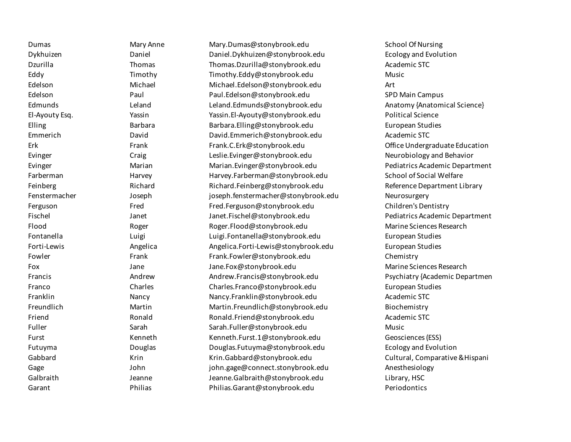Dumas **Mary Anne** Mary.Dumas@stonybrook.edu School Of Nursing Dykhuizen Daniel Daniel.Dykhuizen@stonybrook.edu Ecology and Evolution Dzurilla Thomas Thomas.Dzurilla@stonybrook.edu Academic STC Eddy Timothy Timothy.Eddy@stonybrook.edu Music Edelson Michael Michael.Edelson@stonybrook.edu Art Edelson Paul Paul.Edelson@stonybrook.edu SPD Main Campus Edmunds Leland Leland.Edmunds@stonybrook.edu Anatomy {Anatomical Science} El-Ayouty Esq. Yassin Yassin.El-Ayouty@stonybrook.edu Political Science Elling **Barbara** Barbara.Elling@stonybrook.edu European Studies Emmerich David David.Emmerich@stonybrook.edu Academic STC Erk Frank Frank.C.Erk@stonybrook.edu Office Undergraduate Education Evinger Craig Leslie.Evinger@stonybrook.edu Neurobiology and Behavior Evinger Marian Marian.Evinger@stonybrook.edu Pediatrics Academic Department Farberman **Exercise School of Social Welfare** Harvey.Farberman@stonybrook.edu School of Social Welfare Feinberg Richard Richard.Feinberg@stonybrook.edu Reference Department Library Fenstermacher Joseph joseph.fenstermacher@stonybrook.edu Neurosurgery Ferguson Fred Fred Fred.Ferguson@stonybrook.edu Children's Dentistry Fischel Janet Janet.Fischel@stonybrook.edu Pediatrics Academic Department Flood Roger Roger.Flood@stonybrook.edu Marine Sciences Research Fontanella Luigi Luigi.Fontanella@stonybrook.edu European Studies Forti-Lewis Angelica Angelica.Forti-Lewis@stonybrook.edu European Studies Fowler Frank Frank.Fowler@stonybrook.edu Chemistry Fox Jane Jane.Fox@stonybrook.edu Marine Sciences Research Francis Andrew Andrew.Francis@stonybrook.edu Psychiatry {Academic Departmen Franco Charles Charles.Franco@stonybrook.edu European Studies Franklin Nancy Nancy.Franklin@stonybrook.edu Academic STC Freundlich Martin Martin.Freundlich@stonybrook.edu Biochemistry Friend Ronald Ronald.Friend@stonybrook.edu Academic STC Fuller Sarah Sarah.Fuller@stonybrook.edu Music Furst Kenneth Kenneth.Furst.1@stonybrook.edu Geosciences (ESS) Futuyma Douglas Douglas.Futuyma@stonybrook.edu Ecology and Evolution Gabbard **Krin Krin Krin Krin.Gabbard@stonybrook.edu** Cultural, Comparative & Hispani Gage John John john.gage@connect.stonybrook.edu Anesthesiology Galbraith Jeanne Jeanne.Galbraith@stonybrook.edu Library, HSC Garant Philias Philias.Garant@stonybrook.edu Periodontics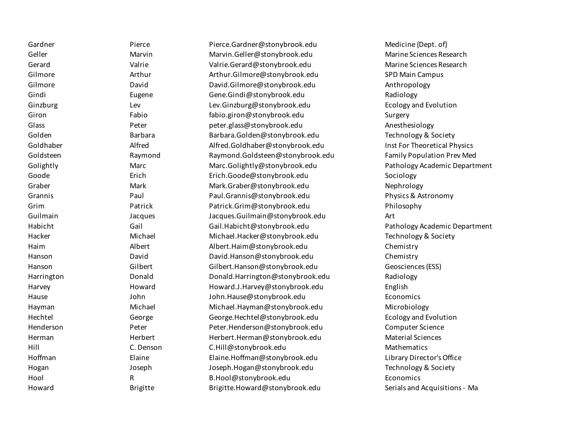| Gardner    | Pierce          | Pierce.Gardner@stonybrook.edu    | Medicine {Dept. of}               |
|------------|-----------------|----------------------------------|-----------------------------------|
| Geller     | Marvin          | Marvin.Geller@stonybrook.edu     | Marine Sciences Research          |
| Gerard     | Valrie          | Valrie.Gerard@stonybrook.edu     | Marine Sciences Research          |
| Gilmore    | Arthur          | Arthur.Gilmore@stonybrook.edu    | <b>SPD Main Campus</b>            |
| Gilmore    | David           | David.Gilmore@stonybrook.edu     | Anthropology                      |
| Gindi      | Eugene          | Gene.Gindi@stonybrook.edu        | Radiology                         |
| Ginzburg   | Lev             | Lev.Ginzburg@stonybrook.edu      | <b>Ecology and Evolution</b>      |
| Giron      | Fabio           | fabio.giron@stonybrook.edu       | Surgery                           |
| Glass      | Peter           | peter.glass@stonybrook.edu       | Anesthesiology                    |
| Golden     | Barbara         | Barbara.Golden@stonybrook.edu    | Technology & Society              |
| Goldhaber  | Alfred          | Alfred.Goldhaber@stonybrook.edu  | Inst For Theoretical Physics      |
| Goldsteen  | Raymond         | Raymond.Goldsteen@stonybrook.edu | <b>Family Population Prev Med</b> |
| Golightly  | Marc            | Marc.Golightly@stonybrook.edu    | Pathology Academic Department     |
| Goode      | Erich           | Erich.Goode@stonybrook.edu       | Sociology                         |
| Graber     | Mark            | Mark.Graber@stonybrook.edu       | Nephrology                        |
| Grannis    | Paul            | Paul.Grannis@stonybrook.edu      | Physics & Astronomy               |
| Grim       | Patrick         | Patrick.Grim@stonybrook.edu      | Philosophy                        |
| Guilmain   | Jacques         | Jacques.Guilmain@stonybrook.edu  | Art                               |
| Habicht    | Gail            | Gail.Habicht@stonybrook.edu      | Pathology Academic Department     |
| Hacker     | Michael         | Michael.Hacker@stonybrook.edu    | Technology & Society              |
| Haim       | Albert          | Albert.Haim@stonybrook.edu       | Chemistry                         |
| Hanson     | David           | David.Hanson@stonybrook.edu      | Chemistry                         |
| Hanson     | Gilbert         | Gilbert.Hanson@stonybrook.edu    | Geosciences (ESS)                 |
| Harrington | Donald          | Donald.Harrington@stonybrook.edu | Radiology                         |
| Harvey     | Howard          | Howard.J.Harvey@stonybrook.edu   | English                           |
| Hause      | John            | John.Hause@stonybrook.edu        | Economics                         |
| Hayman     | Michael         | Michael.Hayman@stonybrook.edu    | Microbiology                      |
| Hechtel    | George          | George.Hechtel@stonybrook.edu    | <b>Ecology and Evolution</b>      |
| Henderson  | Peter           | Peter.Henderson@stonybrook.edu   | Computer Science                  |
| Herman     | Herbert         | Herbert.Herman@stonybrook.edu    | <b>Material Sciences</b>          |
| Hill       | C. Denson       | C.Hill@stonybrook.edu            | Mathematics                       |
| Hoffman    | Elaine          | Elaine.Hoffman@stonybrook.edu    | Library Director's Office         |
| Hogan      | Joseph          | Joseph.Hogan@stonybrook.edu      | Technology & Society              |
| Hool       | R               | B.Hool@stonybrook.edu            | Economics                         |
| Howard     | <b>Brigitte</b> | Brigitte.Howard@stonybrook.edu   | Serials and Acquisitions - Ma     |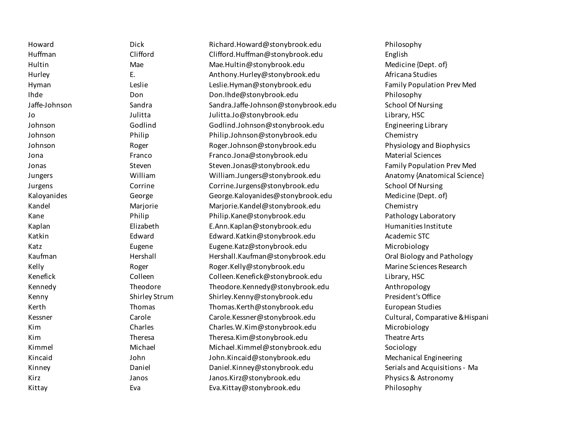| Howard        | <b>Dick</b>          | Richard.Howard@stonybrook.edu       | Philosophy                      |
|---------------|----------------------|-------------------------------------|---------------------------------|
| Huffman       | Clifford             | Clifford.Huffman@stonybrook.edu     | English                         |
| Hultin        | Mae                  | Mae.Hultin@stonybrook.edu           | Medicine {Dept. of}             |
| Hurley        | Ε.                   | Anthony.Hurley@stonybrook.edu       | Africana Studies                |
| Hyman         | Leslie               | Leslie.Hyman@stonybrook.edu         | Family Population Prev Med      |
| Ihde          | Don                  | Don.Ihde@stonybrook.edu             | Philosophy                      |
| Jaffe-Johnson | Sandra               | Sandra.Jaffe-Johnson@stonybrook.edu | <b>School Of Nursing</b>        |
| Jo            | Julitta              | Julitta.Jo@stonybrook.edu           | Library, HSC                    |
| Johnson       | Godlind              | Godlind.Johnson@stonybrook.edu      | <b>Engineering Library</b>      |
| Johnson       | Philip               | Philip.Johnson@stonybrook.edu       | Chemistry                       |
| Johnson       | Roger                | Roger.Johnson@stonybrook.edu        | Physiology and Biophysics       |
| Jona          | Franco               | Franco.Jona@stonybrook.edu          | <b>Material Sciences</b>        |
| Jonas         | Steven               | Steven.Jonas@stonybrook.edu         | Family Population Prev Med      |
| Jungers       | William              | William.Jungers@stonybrook.edu      | Anatomy {Anatomical Science}    |
| Jurgens       | Corrine              | Corrine.Jurgens@stonybrook.edu      | <b>School Of Nursing</b>        |
| Kaloyanides   | George               | George.Kaloyanides@stonybrook.edu   | Medicine {Dept. of}             |
| Kandel        | Marjorie             | Marjorie.Kandel@stonybrook.edu      | Chemistry                       |
| Kane          | Philip               | Philip.Kane@stonybrook.edu          | Pathology Laboratory            |
| Kaplan        | Elizabeth            | E.Ann.Kaplan@stonybrook.edu         | Humanities Institute            |
| Katkin        | Edward               | Edward.Katkin@stonybrook.edu        | Academic STC                    |
| Katz          | Eugene               | Eugene.Katz@stonybrook.edu          | Microbiology                    |
| Kaufman       | Hershall             | Hershall.Kaufman@stonybrook.edu     | Oral Biology and Pathology      |
| Kelly         | Roger                | Roger.Kelly@stonybrook.edu          | Marine Sciences Research        |
| Kenefick      | Colleen              | Colleen.Kenefick@stonybrook.edu     | Library, HSC                    |
| Kennedy       | Theodore             | Theodore.Kennedy@stonybrook.edu     | Anthropology                    |
| Kenny         | <b>Shirley Strum</b> | Shirley.Kenny@stonybrook.edu        | President's Office              |
| Kerth         | Thomas               | Thomas.Kerth@stonybrook.edu         | <b>European Studies</b>         |
| Kessner       | Carole               | Carole.Kessner@stonybrook.edu       | Cultural, Comparative & Hispani |
| Kim           | Charles              | Charles.W.Kim@stonybrook.edu        | Microbiology                    |
| Kim           | Theresa              | Theresa.Kim@stonybrook.edu          | Theatre Arts                    |
| Kimmel        | Michael              | Michael.Kimmel@stonybrook.edu       | Sociology                       |
| Kincaid       | John                 | John.Kincaid@stonybrook.edu         | <b>Mechanical Engineering</b>   |
| Kinney        | Daniel               | Daniel.Kinney@stonybrook.edu        | Serials and Acquisitions - Ma   |
| Kirz          | Janos                | Janos.Kirz@stonybrook.edu           | Physics & Astronomy             |
| Kittay        | Eva                  | Eva.Kittay@stonybrook.edu           | Philosophy                      |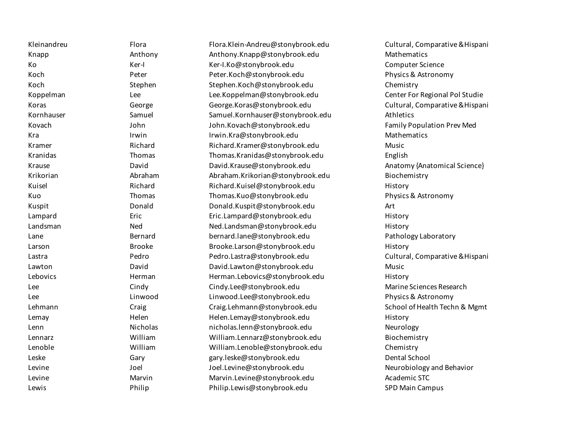| Kleinandreu | Flora         | Flora.Klein-Andreu@stonybrook.edu | Cultural, Comparative & Hispani |
|-------------|---------------|-----------------------------------|---------------------------------|
| Knapp       | Anthony       | Anthony.Knapp@stonybrook.edu      | Mathematics                     |
| Ko          | Ker-I         | Ker-I.Ko@stonybrook.edu           | Computer Science                |
| Koch        | Peter         | Peter.Koch@stonybrook.edu         | Physics & Astronomy             |
| Koch        | Stephen       | Stephen.Koch@stonybrook.edu       | Chemistry                       |
| Koppelman   | Lee           | Lee.Koppelman@stonybrook.edu      | Center For Regional Pol Studie  |
| Koras       | George        | George.Koras@stonybrook.edu       | Cultural, Comparative & Hispani |
| Kornhauser  | Samuel        | Samuel.Kornhauser@stonybrook.edu  | Athletics                       |
| Kovach      | John          | John.Kovach@stonybrook.edu        | Family Population Prev Med      |
| Kra         | Irwin         | Irwin.Kra@stonybrook.edu          | Mathematics                     |
| Kramer      | Richard       | Richard.Kramer@stonybrook.edu     | Music                           |
| Kranidas    | Thomas        | Thomas.Kranidas@stonybrook.edu    | English                         |
| Krause      | David         | David.Krause@stonybrook.edu       | Anatomy {Anatomical Science}    |
| Krikorian   | Abraham       | Abraham.Krikorian@stonybrook.edu  | Biochemistry                    |
| Kuisel      | Richard       | Richard.Kuisel@stonybrook.edu     | History                         |
| Kuo         | Thomas        | Thomas.Kuo@stonybrook.edu         | Physics & Astronomy             |
| Kuspit      | Donald        | Donald.Kuspit@stonybrook.edu      | Art                             |
| Lampard     | Eric          | Eric.Lampard@stonybrook.edu       | History                         |
| Landsman    | Ned           | Ned.Landsman@stonybrook.edu       | History                         |
| Lane        | Bernard       | bernard.lane@stonybrook.edu       | Pathology Laboratory            |
| Larson      | <b>Brooke</b> | Brooke.Larson@stonybrook.edu      | History                         |
| Lastra      | Pedro         | Pedro.Lastra@stonybrook.edu       | Cultural, Comparative & Hispani |
| Lawton      | David         | David.Lawton@stonybrook.edu       | Music                           |
| Lebovics    | Herman        | Herman.Lebovics@stonybrook.edu    | History                         |
| Lee         | Cindy         | Cindy.Lee@stonybrook.edu          | Marine Sciences Research        |
| Lee         | Linwood       | Linwood.Lee@stonybrook.edu        | Physics & Astronomy             |
| Lehmann     | Craig         | Craig.Lehmann@stonybrook.edu      | School of Health Techn & Mgmt   |
| Lemay       | Helen         | Helen.Lemay@stonybrook.edu        | History                         |
| Lenn        | Nicholas      | nicholas.lenn@stonybrook.edu      | Neurology                       |
| Lennarz     | William       | William.Lennarz@stonybrook.edu    | Biochemistry                    |
| Lenoble     | William       | William.Lenoble@stonybrook.edu    | Chemistry                       |
| Leske       | Gary          | gary.leske@stonybrook.edu         | Dental School                   |
| Levine      | Joel          | Joel.Levine@stonybrook.edu        | Neurobiology and Behavior       |
| Levine      | Marvin        | Marvin.Levine@stonybrook.edu      | Academic STC                    |
| Lewis       | Philip        | Philip.Lewis@stonybrook.edu       | <b>SPD Main Campus</b>          |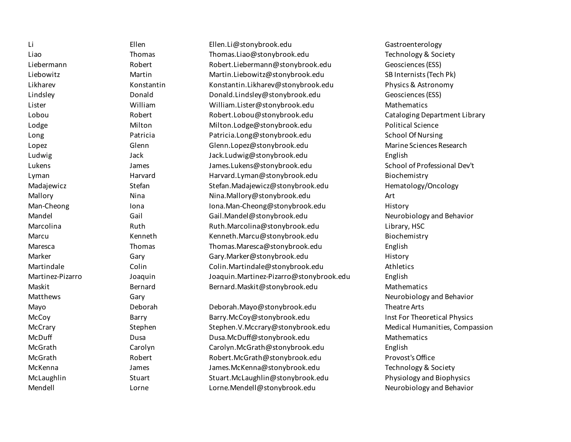Li Ellen Ellen.Li@stonybrook.edu Gastroenterology Liao Thomas Thomas Thomas.Liao@stonybrook.edu Technology & Society Liebermann Robert Robert.Liebermann@stonybrook.edu Geosciences (ESS) Liebowitz Martin Martin.Liebowitz@stonybrook.edu SB Internists (Tech Pk) Likharev Konstantin Konstantin.Likharev@stonybrook.edu Physics & Astronomy Lindsley Donald Donald.Lindsley@stonybrook.edu Geosciences (ESS) Lister William William.Lister@stonybrook.edu Mathematics Lobou Robert Robert.Lobou@stonybrook.edu Cataloging Department Library Lodge Milton Milton.Lodge@stonybrook.edu Political Science Long Charlotter Patricia Patricia Patricia.Long@stonybrook.edu School Of Nursing Lopez Glenn Glenn.Lopez@stonybrook.edu Marine Sciences Research Ludwig Jack Jack.Ludwig@stonybrook.edu English Lukens James James.Lukens@stonybrook.edu School of Professional Dev't Lyman Harvard Harvard.Lyman@stonybrook.edu Biochemistry Madajewicz Stefan Stefan Stefan.Madajewicz@stonybrook.edu Hematology/Oncology Hematology/Oncology Mallory **Nina** Nina Nina Nina.Mallory@stonybrook.edu Art Man-Cheong **Iona** Iona Iona Iona.Man-Cheong@stonybrook.edu History Mandel Gail Gail.Mandel@stonybrook.edu Neurobiology and Behavior Marcolina Ruth Ruth.Marcolina@stonybrook.edu Library, HSC Marcu Kenneth Kenneth.Marcu@stonybrook.edu Biochemistry Maresca Thomas Thomas.Maresca@stonybrook.edu English Marker Gary Gary.Marker@stonybrook.edu History Martindale Colin Colin.Martindale@stonybrook.edu Athletics Martinez-Pizarro Joaquin Joaquin.Martinez-Pizarro@stonybrook.edu English Maskit Bernard Bernard.Maskit@stonybrook.edu Mathematics Matthews Gary Neurobiology and Behavior Mayo Deborah Deborah.Mayo@stonybrook.edu Theatre Arts McCoy Barry Barry.McCoy@stonybrook.edu Inst For Theoretical Physics McCrary Stephen Stephen Stephen.V.Mccrary@stonybrook.edu Medical Humanities, Compassion McDuff Dusa Dusa.McDuff@stonybrook.edu Mathematics McGrath Carolyn Carolyn.McGrath@stonybrook.edu English McGrath Robert Robert.McGrath@stonybrook.edu Provost's Office McKenna Technology & Society James James.McKenna@stonybrook.edu Technology & Society McLaughlin Stuart Stuart.McLaughlin@stonybrook.edu Physiology and Biophysics Mendell Lorne Lorne.Mendell@stonybrook.edu Neurobiology and Behavior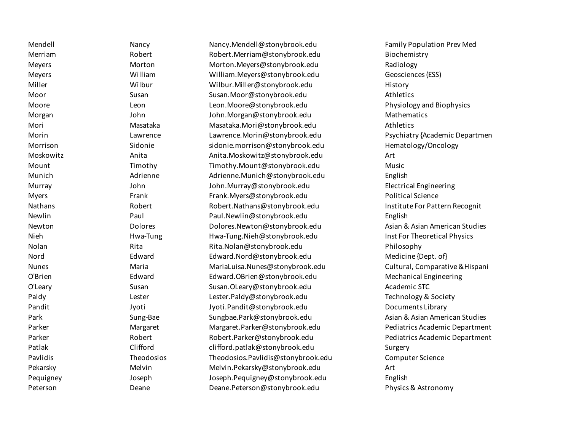Merriam Robert Robert.Merriam@stonybrook.edu Biochemistry Meyers Morton Morton.Meyers@stonybrook.edu Radiology Meyers William William.Meyers@stonybrook.edu Geosciences (ESS) Miller Wilbur Wilbur.Miller@stonybrook.edu History Moor Susan Susan.Moor@stonybrook.edu Athletics Moore Leon Leon.Moore@stonybrook.edu Physiology and Biophysics Morgan John John.Morgan@stonybrook.edu Mathematics Mori Masataka Masataka.Mori@stonybrook.edu Athletics Morin Lawrence Lawrence.Morin@stonybrook.edu Psychiatry {Academic Departmen Morrison Sidonie sidonie.morrison@stonybrook.edu Hematology/Oncology Moskowitz Anita Anita.Moskowitz@stonybrook.edu Art Mount Timothy Timothy.Mount@stonybrook.edu Music Munich Adrienne Adrienne.Munich@stonybrook.edu English Murray John John.Murray@stonybrook.edu Electrical Engineering Myers Frank Frank.Myers@stonybrook.edu Political Science Nathans **Robert Robert Robert.Nathans@stonybrook.edu** Institute For Pattern Recognit Newlin Paul Paul.Newlin@stonybrook.edu English Newton **Example 2 Newton Dolores Constructs** Dolores.Newton@stonybrook.edu Asian & Asian American Studies Nieh **Example Hwa-Tung Hwa-Tung.Nieh@stonybrook.edu** Inst For Theoretical Physics Nolan Rita Rita.Nolan@stonybrook.edu Philosophy Nord Edward Edward Edward.Nord@stonybrook.edu Medicine {Dept. of } Nunes Maria MariaLuisa.Nunes@stonybrook.edu Cultural, Comparative &Hispani O'Brien Edward Edward.OBrien@stonybrook.edu Mechanical Engineering O'Leary **Susan Susan Susan.OLeary@stonybrook.edu** Academic STC Paldy Charlester Lester Lester.Paldy@stonybrook.edu Technology & Society Pandit Jyoti Jyoti.Pandit@stonybrook.edu Documents Library Park Sung-Bae Sungbae.Park@stonybrook.edu Asian & Asian American Studies Parker **Margaret Margaret Margaret.Parker@stonybrook**.edu Pediatrics Academic Department Parker Robert Robert.Parker@stonybrook.edu Pediatrics Academic Department Patlak Clifford clifford.patlak@stonybrook.edu Surgery Pavlidis Theodosios Theodosios.Pavlidis@stonybrook.edu Computer Science Pekarsky Melvin Melvin.Pekarsky@stonybrook.edu Art Pequigney Joseph Joseph.Pequigney@stonybrook.edu English Peterson Deane Deane.Peterson@stonybrook.edu Physics & Astronomy

Mendell Nancy Nancy.Mendell@stonybrook.edu Family Population Prev Med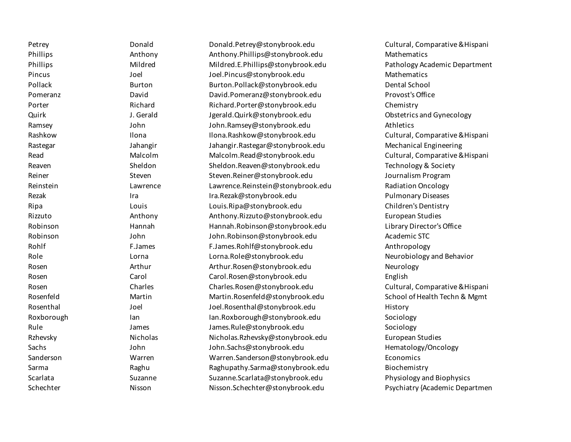Petrey Donald Donald.Petrey@stonybrook.edu Cultural, Comparative &Hispani Phillips **Anthony Anthony Anthony.Phillips@stonybrook.edu** Mathematics Phillips **Mildred Mildred Mildred.** E.Phillips@stonybrook.edu Pathology Academic Department Pincus Joel Joel.Pincus@stonybrook.edu Mathematics Pollack Burton Burton.Pollack@stonybrook.edu Dental School Pomeranz David David.Pomeranz@stonybrook.edu Provost's Office Porter Richard Richard.Porter@stonybrook.edu Chemistry Quirk J. Gerald Jgerald.Quirk@stonybrook.edu Obstetrics and Gynecology Ramsey John John.Ramsey@stonybrook.edu Athletics Rashkow Ilona Ilona Ilona.Rashkow@stonybrook.edu Cultural, Comparative & Hispani Rastegar Jahangir Jahangir.Rastegar@stonybrook.edu Mechanical Engineering Read **Malcolm Malcolm Malcolm.Read@stonybrook.**edu Cultural, Comparative & Hispani Reaven Sheldon Sheldon Sheldon.Reaven@stonybrook.edu Technology & Society Reiner Steven Steven Steven.Reiner@stonybrook.edu Journalism Program Reinstein **Example 20 Example 20 Example 20 Example 20 Example 20 Example 20 Example 20 Example 20 Example 20 E** Rezak Ira Ira.Rezak@stonybrook.edu Pulmonary Diseases Ripa Louis Louis.Ripa@stonybrook.edu Children's Dentistry Rizzuto Anthony Anthony.Rizzuto@stonybrook.edu European Studies Robinson Hannah Hannah.Robinson@stonybrook.edu Library Director's Office Robinson John John.Robinson@stonybrook.edu Academic STC Rohlf F.James F.James F.James.Rohlf@stonybrook.edu Anthropology Role Communication Communication (Lorna Lorna.Role@stonybrook.edu Neurobiology and Behavior Rosen Arthur Arthur.Rosen@stonybrook.edu Neurology Rosen Carol Carol Carol.Rosen@stonybrook.edu English Rosen Charles Charles.Rosen@stonybrook.edu Cultural, Comparative &Hispani Rosenfeld **Example 20 Martin Martin Martin.Rosenfeld@stonybrook.edu** School of Health Techn & Mgmt Rosenthal Joel Joel Joel.Rosenthal@stonybrook.edu History Roxborough Ian Ian Ian Ian.Roxborough@stonybrook.edu Sociology Rule James James James.Rule@stonybrook.edu Sociology Rzhevsky Nicholas Nicholas.Rzhevsky@stonybrook.edu European Studies Sachs John John.Sachs@stonybrook.edu Hematology/Oncology Sanderson Warren Warren.Sanderson@stonybrook.edu Economics Sarma **Raghum Raghupathy.Sarma@stonybrook.edu** Biochemistry Scarlata Suzanne Suzanne.Scarlata@stonybrook.edu Physiology and Biophysics Schechter **Nisson Nisson Nisson.Schechter@stonybrook.edu** Psychiatry {Academic Departmen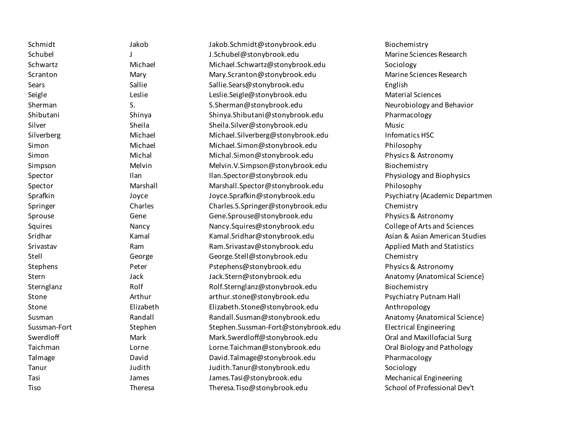| Schmidt      | Jakob          | Jakob.Schmidt@stonybrook.edu        | Biochemistry                       |
|--------------|----------------|-------------------------------------|------------------------------------|
| Schubel      |                | J.Schubel@stonybrook.edu            | Marine Sciences Research           |
| Schwartz     | Michael        | Michael.Schwartz@stonybrook.edu     | Sociology                          |
| Scranton     | Mary           | Mary.Scranton@stonybrook.edu        | Marine Sciences Research           |
| Sears        | Sallie         | Sallie.Sears@stonybrook.edu         | English                            |
| Seigle       | Leslie         | Leslie.Seigle@stonybrook.edu        | <b>Material Sciences</b>           |
| Sherman      | S.             | S.Sherman@stonybrook.edu            | Neurobiology and Behavior          |
| Shibutani    | Shinya         | Shinya.Shibutani@stonybrook.edu     | Pharmacology                       |
| Silver       | Sheila         | Sheila.Silver@stonybrook.edu        | Music                              |
| Silverberg   | Michael        | Michael.Silverberg@stonybrook.edu   | Infomatics HSC                     |
| Simon        | Michael        | Michael.Simon@stonybrook.edu        | Philosophy                         |
| Simon        | Michal         | Michal.Simon@stonybrook.edu         | Physics & Astronomy                |
| Simpson      | Melvin         | Melvin.V.Simpson@stonybrook.edu     | Biochemistry                       |
| Spector      | Ilan           | Ilan.Spector@stonybrook.edu         | Physiology and Biophysics          |
| Spector      | Marshall       | Marshall.Spector@stonybrook.edu     | Philosophy                         |
| Sprafkin     | Joyce          | Joyce.Sprafkin@stonybrook.edu       | Psychiatry {Academic Departmen     |
| Springer     | Charles        | Charles.S.Springer@stonybrook.edu   | Chemistry                          |
| Sprouse      | Gene           | Gene.Sprouse@stonybrook.edu         | Physics & Astronomy                |
| Squires      | Nancy          | Nancy.Squires@stonybrook.edu        | College of Arts and Sciences       |
| Sridhar      | Kamal          | Kamal.Sridhar@stonybrook.edu        | Asian & Asian American Studies     |
| Srivastav    | Ram            | Ram.Srivastav@stonybrook.edu        | <b>Applied Math and Statistics</b> |
| Stell        | George         | George.Stell@stonybrook.edu         | Chemistry                          |
| Stephens     | Peter          | Pstephens@stonybrook.edu            | Physics & Astronomy                |
| Stern        | Jack           | Jack.Stern@stonybrook.edu           | Anatomy {Anatomical Science}       |
| Sternglanz   | Rolf           | Rolf.Sternglanz@stonybrook.edu      | Biochemistry                       |
| Stone        | Arthur         | arthur.stone@stonybrook.edu         | <b>Psychiatry Putnam Hall</b>      |
| Stone        | Elizabeth      | Elizabeth.Stone@stonybrook.edu      | Anthropology                       |
| Susman       | Randall        | Randall.Susman@stonybrook.edu       | Anatomy {Anatomical Science}       |
| Sussman-Fort | Stephen        | Stephen.Sussman-Fort@stonybrook.edu | <b>Electrical Engineering</b>      |
| Swerdloff    | Mark           | Mark.Swerdloff@stonybrook.edu       | Oral and Maxillofacial Surg        |
| Taichman     | Lorne          | Lorne. Taichman@stonybrook.edu      | Oral Biology and Pathology         |
| Talmage      | David          | David.Talmage@stonybrook.edu        | Pharmacology                       |
| Tanur        | Judith         | Judith.Tanur@stonybrook.edu         | Sociology                          |
| Tasi         | James          | James. Tasi@stonybrook.edu          | Mechanical Engineering             |
| Tiso         | <b>Theresa</b> | Theresa. Tiso@stonybrook.edu        | School of Professional Dev't       |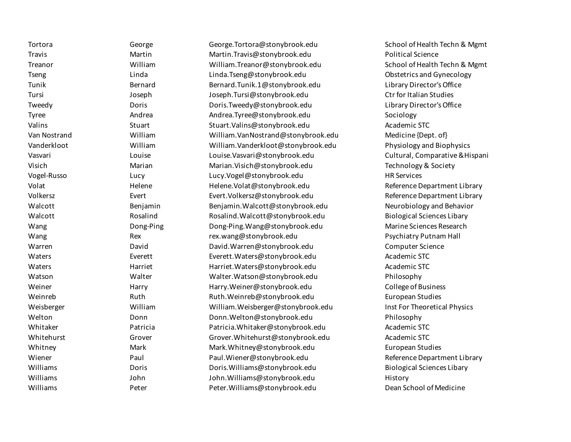Tortora Ceorge George George.Tortora@stonybrook.edu School of Health Techn & Mgmt

Travis Martin Martin.Travis@stonybrook.edu Political Science Treanor William William.Treanor@stonybrook.edu School of Health Techn & Mgmt Tseng The Linda Linda Linda Linda.Tseng@stonybrook.edu Charles Chaterics and Gynecology Tunik Bernard Bernard.Tunik.1@stonybrook.edu Library Director's Office Tursi Joseph Joseph.Tursi@stonybrook.edu Ctr for Italian Studies Tweedy Doris Doris.Tweedy@stonybrook.edu Library Director's Office Tyree **Andrea Andrea Andrea.Tyree@stonybrook.edu** Sociology Valins Stuart Stuart.Valins@stonybrook.edu Academic STC Van Nostrand William William William.Van Nostrand @stonybrook.edu Medicine {Dept. of} Vanderkloot William William.Vanderkloot@stonybrook.edu Physiology and Biophysics Vasvari Louise Louise.Vasvari@stonybrook.edu Cultural, Comparative &Hispani Visich Marian Marian.Visich@stonybrook.edu Technology & Society Vogel-Russo Lucy Lucy.Vogel@stonybrook.edu HR Services Volat Nelene Helene Helene.Volat@stonybrook.edu Reference Department Library Volkersz Evert Evert.Volkersz@stonybrook.edu Reference Department Library Walcott **Example 2 and Benjamin Benjamin.Walcott@stonybrook.edu** Neurobiology and Behavior Walcott Rosalind Rosalind.Walcott@stonybrook.edu Biological Sciences Libary Wang Dong-Ping Dong-Ping.Wang@stonybrook.edu Marine Sciences Research Wang external Rex rex.wang@stonybrook.edu external Psychiatry Putnam Hall Warren David David.Warren@stonybrook.edu Computer Science Waters Everett Everett.Waters@stonybrook.edu Academic STC Waters Harriet Harriet.Waters@stonybrook.edu Academic STC Watson Walter Walter.Watson@stonybrook.edu Philosophy Weiner Harry Harry.Weiner@stonybrook.edu College of Business Weinreb Ruth Ruth.Weinreb@stonybrook.edu European Studies Weisberger **William William William.Weisberger@stonybrook.edu** Inst For Theoretical Physics Welton Donn Donn.Welton@stonybrook.edu Philosophy Whitaker Patricia Patricia.Whitaker@stonybrook.edu Academic STC Whitehurst Crover Grover Grover.Whitehurst@stonybrook.edu Academic STC Whitney Mark Mark.Whitney@stonybrook.edu European Studies Wiener **Eaul Paul Paul.Wiener@stonybrook.edu** Reference Department Library Williams **Example 2 Inc. In the Union Contract Doris.** Nilliams@stonybrook.edu Biological Sciences Libary Williams John John.Williams@stonybrook.edu History Williams Peter Peter.Williams@stonybrook.edu Dean School of Medicine